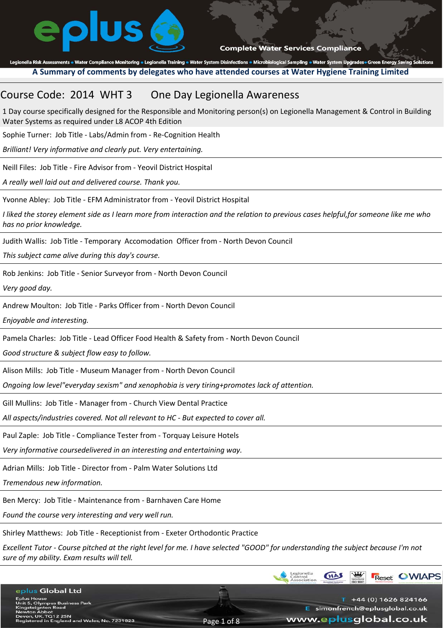

Legionella Risk Assessments . Water Compliance Monitoring . Legionella Training . Water System Disinfections . Microbiological Sampling . Water System Upgrades Green Energy Saving Solutions **A Summary of comments by delegates who have attended courses at Water Hygiene Training Limited**

## Course Code: 2014 WHT 3 One Day Legionella Awareness

1 Day course specifically designed for the Responsible and Monitoring person(s) on Legionella Management & Control in Building Water Systems as required under L8 ACOP 4th Edition

Sophie Turner: Job Title ‐ Labs/Admin from ‐ Re‐Cognition Health

*Brilliant! Very informative and clearly put. Very entertaining.*

Neill Files: Job Title ‐ Fire Advisor from ‐ Yeovil District Hospital

*A really well laid out and delivered course. Thank you.*

Yvonne Abley: Job Title ‐ EFM Administrator from ‐ Yeovil District Hospital

*I liked the storey element side as I learn more from interaction and the relation to previous cases helpful,for someone like me who has no prior knowledge.*

Judith Wallis: Job Title ‐ Temporary Accomodation Officer from ‐ North Devon Council

*This subject came alive during this day's course.*

Rob Jenkins: Job Title ‐ Senior Surveyor from ‐ North Devon Council

*Very good day.*

Andrew Moulton: Job Title ‐ Parks Officer from ‐ North Devon Council

*Enjoyable and interesting.*

Pamela Charles: Job Title ‐ Lead Officer Food Health & Safety from ‐ North Devon Council

*Good structure & subject flow easy to follow.*

Alison Mills: Job Title ‐ Museum Manager from ‐ North Devon Council

*Ongoing low level"everyday sexism" and xenophobia is very tiring+promotes lack of attention.*

Gill Mullins: Job Title ‐ Manager from ‐ Church View Dental Practice

*All aspects/industries covered. Not all relevant to HC ‐ But expected to cover all.*

Paul Zaple: Job Title ‐ Compliance Tester from ‐ Torquay Leisure Hotels

*Very informative coursedelivered in an interesting and entertaining way.*

Adrian Mills: Job Title ‐ Director from ‐ Palm Water Solutions Ltd

*Tremendous new information.*

Ben Mercy: Job Title ‐ Maintenance from ‐ Barnhaven Care Home

*Found the course very interesting and very well run.*

Shirley Matthews: Job Title ‐ Receptionist from ‐ Exeter Orthodontic Practice

*Excellent Tutor ‐ Course pitched at the right level for me. I have selected "GOOD" for understanding the subject because I'm not sure of my ability. Exam results will tell.*

|                                                                     |             | Legionetta<br>Control<br>Association | <b>HAS</b> | $\blacksquare$<br>ISO 9001 |  | <b>Reset OWIAPS</b>             |
|---------------------------------------------------------------------|-------------|--------------------------------------|------------|----------------------------|--|---------------------------------|
| eplus Global Ltd                                                    |             |                                      |            |                            |  |                                 |
| <b>Eplus House</b><br><b>Unit 5, Olympus Business Park</b>          |             |                                      |            |                            |  | +44 (0) 1626 824166             |
| <b>Kingsteignton Road</b><br><b>Newton Abbot</b>                    |             |                                      |            |                            |  | E simonfrench@eplusglobal.co.uk |
| Devon, UK. TQ12 2SN<br>Registered in England and Wales, No. 7231823 | Page 1 of 8 | www.eplusglobal.co.uk                |            |                            |  |                                 |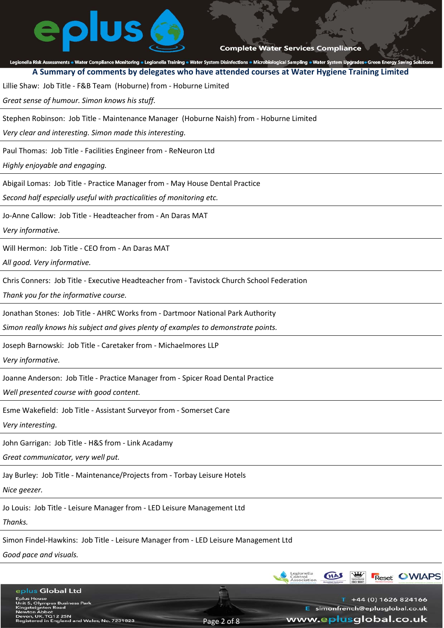# **olus**

**Complete Water Services Compliance** 

Legionella Risk Assessments . Water Compliance Monitoring . Legionella Training . Water System Disinfections . Microbiological Sampling . Water System Upgrades Green Energy Saving Solutions **A Summary of comments by delegates who have attended courses at Water Hygiene Training Limited**

Lillie Shaw: Job Title ‐ F&B Team (Hoburne) from ‐ Hoburne Limited

*Great sense of humour. Simon knows his stuff.*

Stephen Robinson: Job Title ‐ Maintenance Manager (Hoburne Naish) from ‐ Hoburne Limited

*Very clear and interesting. Simon made this interesting.*

Paul Thomas: Job Title ‐ Facilities Engineer from ‐ ReNeuron Ltd

*Highly enjoyable and engaging.*

Abigail Lomas: Job Title ‐ Practice Manager from ‐ May House Dental Practice

*Second half especially useful with practicalities of monitoring etc.*

Jo‐Anne Callow: Job Title ‐ Headteacher from ‐ An Daras MAT

*Very informative.*

Will Hermon: Job Title ‐ CEO from ‐ An Daras MAT

*All good. Very informative.*

Chris Conners: Job Title ‐ Executive Headteacher from ‐ Tavistock Church School Federation

*Thank you for the informative course.*

Jonathan Stones: Job Title ‐ AHRC Works from ‐ Dartmoor National Park Authority

*Simon really knows his subject and gives plenty of examples to demonstrate points.*

Joseph Barnowski: Job Title ‐ Caretaker from ‐ Michaelmores LLP

*Very informative.*

Joanne Anderson: Job Title ‐ Practice Manager from ‐ Spicer Road Dental Practice

*Well presented course with good content.*

Esme Wakefield: Job Title ‐ Assistant Surveyor from ‐ Somerset Care

*Very interesting.*

John Garrigan: Job Title ‐ H&S from ‐ Link Acadamy

*Great communicator, very well put.*

Jay Burley: Job Title ‐ Maintenance/Projects from ‐ Torbay Leisure Hotels

*Nice geezer.*

Jo Louis: Job Title ‐ Leisure Manager from ‐ LED Leisure Management Ltd

*Thanks.*

Simon Findel‐Hawkins: Job Title ‐ Leisure Manager from ‐ LED Leisure Management Ltd

*Good pace and visuals.*

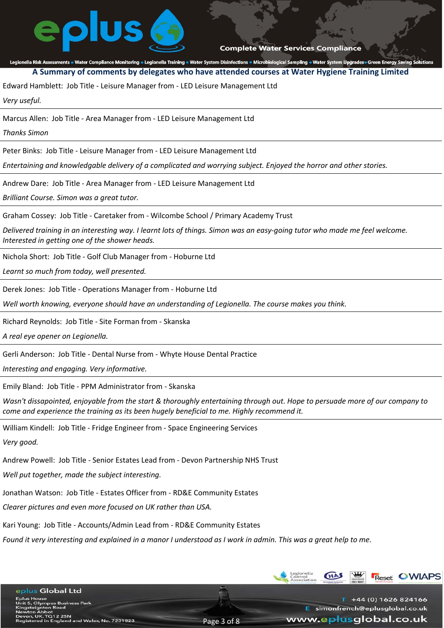Legionella Risk Assessments . Water Compliance Monitoring . Legionella Training . Water System Disinfections . Microbiological Sampling . Water System Upgrades Green Energy Saving Solutions **A Summary of comments by delegates who have attended courses at Water Hygiene Training Limited**

Edward Hamblett: Job Title ‐ Leisure Manager from ‐ LED Leisure Management Ltd

*Very useful.*

Marcus Allen: Job Title ‐ Area Manager from ‐ LED Leisure Management Ltd

*Thanks Simon*

Peter Binks: Job Title ‐ Leisure Manager from ‐ LED Leisure Management Ltd

*Entertaining and knowledgable delivery of a complicated and worrying subject. Enjoyed the horror and other stories.*

Andrew Dare: Job Title ‐ Area Manager from ‐ LED Leisure Management Ltd

*Brilliant Course. Simon was a great tutor.*

Graham Cossey: Job Title ‐ Caretaker from ‐ Wilcombe School / Primary Academy Trust

*Delivered training in an interesting way. I learnt lots of things. Simon was an easy‐going tutor who made me feel welcome. Interested in getting one of the shower heads.*

Nichola Short: Job Title ‐ Golf Club Manager from ‐ Hoburne Ltd

*Learnt so much from today, well presented.*

Derek Jones: Job Title ‐ Operations Manager from ‐ Hoburne Ltd

*Well worth knowing, everyone should have an understanding of Legionella. The course makes you think.*

Richard Reynolds: Job Title ‐ Site Forman from ‐ Skanska

*A real eye opener on Legionella.*

Gerli Anderson: Job Title ‐ Dental Nurse from ‐ Whyte House Dental Practice

*Interesting and engaging. Very informative.*

Emily Bland: Job Title ‐ PPM Administrator from ‐ Skanska

*Wasn't dissapointed, enjoyable from the start & thoroughly entertaining through out. Hope to persuade more of our company to come and experience the training as its been hugely beneficial to me. Highly recommend it.*

William Kindell: Job Title ‐ Fridge Engineer from ‐ Space Engineering Services

*Very good.*

Andrew Powell: Job Title ‐ Senior Estates Lead from ‐ Devon Partnership NHS Trust

*Well put together, made the subject interesting.*

Jonathan Watson: Job Title ‐ Estates Officer from ‐ RD&E Community Estates

*Clearer pictures and even more focused on UK rather than USA.*

Kari Young: Job Title ‐ Accounts/Admin Lead from ‐ RD&E Community Estates

*Found it very interesting and explained in a manor I understood as I work in admin. This was a great help to me.*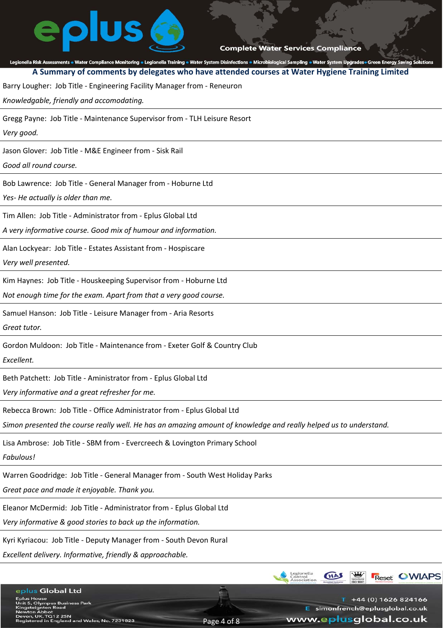# eplus

**Complete Water Services Compliance** 

Legionella Risk Assessments . Water Compliance Monitoring . Legionella Training . Water System Disinfections . Microbiological Sampling . Water System Upgrades Green Energy Saving Solutions **A Summary of comments by delegates who have attended courses at Water Hygiene Training Limited** Barry Lougher: Job Title ‐ Engineering Facility Manager from ‐ Reneuron *Knowledgable, friendly and accomodating.* Gregg Payne: Job Title ‐ Maintenance Supervisor from ‐ TLH Leisure Resort *Very good.* Jason Glover: Job Title ‐ M&E Engineer from ‐ Sisk Rail *Good all round course.* Bob Lawrence: Job Title ‐ General Manager from ‐ Hoburne Ltd *Yes‐ He actually is older than me.* Tim Allen: Job Title ‐ Administrator from ‐ Eplus Global Ltd

*A very informative course. Good mix of humour and information.*

Alan Lockyear: Job Title ‐ Estates Assistant from ‐ Hospiscare

*Very well presented.*

Kim Haynes: Job Title ‐ Houskeeping Supervisor from ‐ Hoburne Ltd

*Not enough time for the exam. Apart from that a very good course.*

Samuel Hanson: Job Title ‐ Leisure Manager from ‐ Aria Resorts

*Great tutor.*

Gordon Muldoon: Job Title ‐ Maintenance from ‐ Exeter Golf & Country Club

*Excellent.*

Beth Patchett: Job Title ‐ Aministrator from ‐ Eplus Global Ltd

*Very informative and a great refresher for me.*

Rebecca Brown: Job Title ‐ Office Administrator from ‐ Eplus Global Ltd

*Simon presented the course really well. He has an amazing amount of knowledge and really helped us to understand.*

Lisa Ambrose: Job Title ‐ SBM from ‐ Evercreech & Lovington Primary School

*Fabulous!*

Warren Goodridge: Job Title ‐ General Manager from ‐ South West Holiday Parks

*Great pace and made it enjoyable. Thank you.*

Eleanor McDermid: Job Title ‐ Administrator from ‐ Eplus Global Ltd

*Very informative & good stories to back up the information.*

Kyri Kyriacou: Job Title ‐ Deputy Manager from ‐ South Devon Rural

*Excellent delivery. Informative, friendly & approachable.*

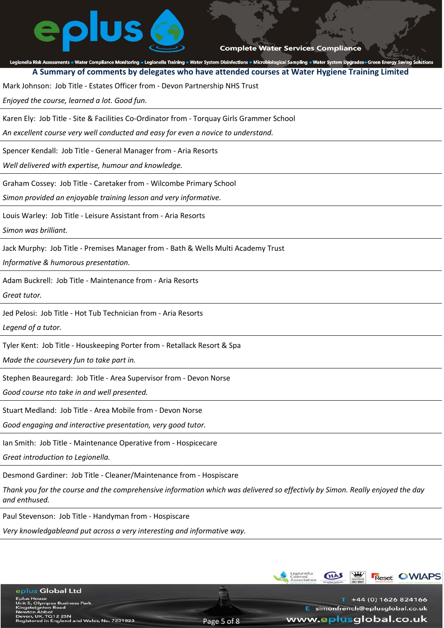# plus

### **Complete Water Services Compliance**

Legionella Risk Assessments . Water Compliance Monitoring . Legionella Training . Water System Disinfections . Microbiological Sampling . Water System Upgrades Green Energy Saving Solutions **A Summary of comments by delegates who have attended courses at Water Hygiene Training Limited**

Mark Johnson: Job Title ‐ Estates Officer from ‐ Devon Partnership NHS Trust

*Enjoyed the course, learned a lot. Good fun.*

Karen Ely: Job Title ‐ Site & Facilities Co‐Ordinator from ‐ Torquay Girls Grammer School

*An excellent course very well conducted and easy for even a novice to understand.*

Spencer Kendall: Job Title ‐ General Manager from ‐ Aria Resorts

*Well delivered with expertise, humour and knowledge.*

Graham Cossey: Job Title ‐ Caretaker from ‐ Wilcombe Primary School

*Simon provided an enjoyable training lesson and very informative.*

Louis Warley: Job Title ‐ Leisure Assistant from ‐ Aria Resorts

*Simon was brilliant.*

Jack Murphy: Job Title ‐ Premises Manager from ‐ Bath & Wells Multi Academy Trust

*Informative & humorous presentation.*

Adam Buckrell: Job Title ‐ Maintenance from ‐ Aria Resorts

*Great tutor.*

Jed Pelosi: Job Title ‐ Hot Tub Technician from ‐ Aria Resorts

*Legend of a tutor.*

Tyler Kent: Job Title ‐ Houskeeping Porter from ‐ Retallack Resort & Spa

*Made the coursevery fun to take part in.*

Stephen Beauregard: Job Title ‐ Area Supervisor from ‐ Devon Norse

*Good course nto take in and well presented.*

Stuart Medland: Job Title ‐ Area Mobile from ‐ Devon Norse

*Good engaging and interactive presentation, very good tutor.*

Ian Smith: Job Title ‐ Maintenance Operative from ‐ Hospicecare

*Great introduction to Legionella.*

eplus Global Ltd

louse<br>Olympus Business Park<br>¤ignton Road

rgmon Road<br>| Abbot<br>UK. TQ12 2SN<br>red in England and Wales, No. 7231823

Desmond Gardiner: Job Title ‐ Cleaner/Maintenance from ‐ Hospiscare

*Thank you for the course and the comprehensive information which was delivered so effectivly by Simon. Really enjoyed the day and enthused.*

Paul Stevenson: Job Title ‐ Handyman from ‐ Hospiscare

*Very knowledgableand put across a very interesting and informative way.*

**Reset OWIAPS**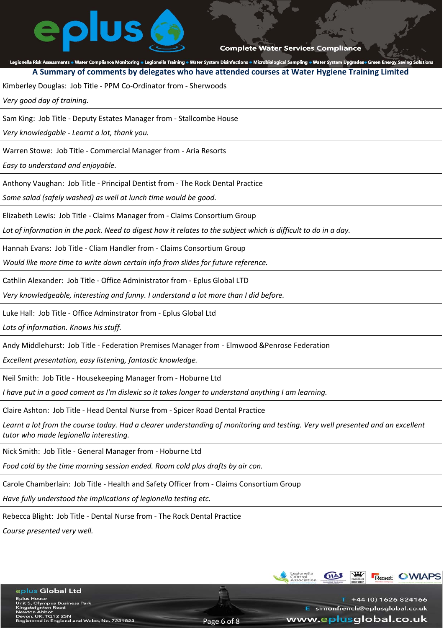# plus

**Complete Water Services Compliance** 

### Legionella Risk Assessments . Water Compliance Monitoring . Legionella Training . Water System Disinfections . Microbiological Sampling . Water System Upgrades Green Energy Saving Solutions

**A Summary of comments by delegates who have attended courses at Water Hygiene Training Limited**

Kimberley Douglas: Job Title ‐ PPM Co‐Ordinator from ‐ Sherwoods

*Very good day of training.*

Sam King: Job Title ‐ Deputy Estates Manager from ‐ Stallcombe House

*Very knowledgable ‐ Learnt a lot, thank you.*

Warren Stowe: Job Title ‐ Commercial Manager from ‐ Aria Resorts

*Easy to understand and enjoyable.*

Anthony Vaughan: Job Title ‐ Principal Dentist from ‐ The Rock Dental Practice

*Some salad (safely washed) as well at lunch time would be good.*

Elizabeth Lewis: Job Title ‐ Claims Manager from ‐ Claims Consortium Group

*Lot of information in the pack. Need to digest how it relates to the subject which is difficult to do in a day.*

Hannah Evans: Job Title ‐ Cliam Handler from ‐ Claims Consortium Group

*Would like more time to write down certain info from slides for future reference.*

Cathlin Alexander: Job Title ‐ Office Administrator from ‐ Eplus Global LTD

*Very knowledgeable, interesting and funny. I understand a lot more than I did before.*

Luke Hall: Job Title ‐ Office Adminstrator from ‐ Eplus Global Ltd

*Lots of information. Knows his stuff.*

Andy Middlehurst: Job Title ‐ Federation Premises Manager from ‐ Elmwood &Penrose Federation

*Excellent presentation, easy listening, fantastic knowledge.*

Neil Smith: Job Title ‐ Housekeeping Manager from ‐ Hoburne Ltd

*I have put in a good coment as I'm dislexic so it takes longer to understand anything I am learning.*

Claire Ashton: Job Title ‐ Head Dental Nurse from ‐ Spicer Road Dental Practice

*Learnt a lot from the course today. Had a clearer understanding of monitoring and testing. Very well presented and an excellent tutor who made legionella interesting.*

Page 6 of 8

Nick Smith: Job Title ‐ General Manager from ‐ Hoburne Ltd

*Food cold by the time morning session ended. Room cold plus drafts by air con.*

Carole Chamberlain: Job Title ‐ Health and Safety Officer from ‐ Claims Consortium Group

*Have fully understood the implications of legionella testing etc.*

Rebecca Blight: Job Title ‐ Dental Nurse from ‐ The Rock Dental Practice

*Course presented very well.*

eplus Global Ltd

House<br>Olympus Business Park<br>eignton Road<br><sub>1</sub>, UK. TQ12 2SN<br>ered in England and Wales, No. 7231823

+44 (0) 1626 824166 E simonfrench@eplusglobal.co.uk www.eplusglobal.co.uk

**Reset OWIAPS**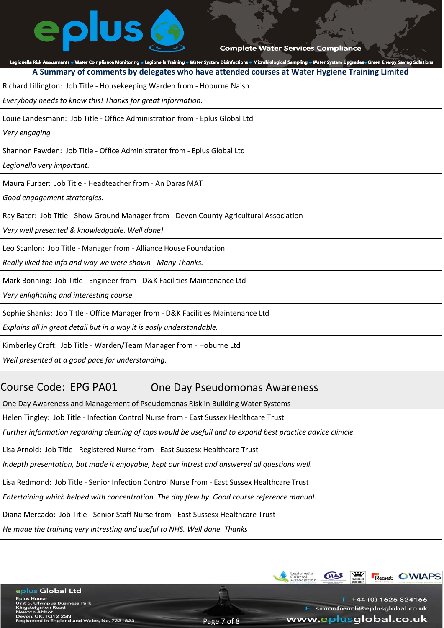## Legionella Risk Assessments . Water Compliance Monitoring . Legionella Training . Water System Disinfections . Microbiological Sampling . Water System Upgrades Green Energy Saving Solutions **A Summary of comments by delegates who have attended courses at Water Hygiene Training Limited** Richard Lillington: Job Title ‐ Housekeeping Warden from ‐ Hoburne Naish *Everybody needs to know this! Thanks for great information.* Louie Landesmann: Job Title ‐ Office Administration from ‐ Eplus Global Ltd *Very engaging* Shannon Fawden: Job Title ‐ Office Administrator from ‐ Eplus Global Ltd *Legionella very important.* Maura Furber: Job Title ‐ Headteacher from ‐ An Daras MAT *Good engagement stratergies.* Ray Bater: Job Title ‐ Show Ground Manager from ‐ Devon County Agricultural Association *Very well presented & knowledgable. Well done!* Leo Scanlon: Job Title ‐ Manager from ‐ Alliance House Foundation *Really liked the info and way we were shown ‐ Many Thanks.* Mark Bonning: Job Title ‐ Engineer from ‐ D&K Facilities Maintenance Ltd *Very enlightning and interesting course.* Sophie Shanks: Job Title ‐ Office Manager from ‐ D&K Facilities Maintenance Ltd *Explains all in great detail but in a way it is easly understandable.* Kimberley Croft: Job Title ‐ Warden/Team Manager from ‐ Hoburne Ltd

*Well presented at a good pace for understanding.*

eplus Global Ltd

louse<br>Olympus Business Park<br>eignton Road<br>a Abbot

## Course Code: EPG PA01 One Day Pseudomonas Awareness

One Day Awareness and Management of Pseudomonas Risk in Building Water Systems Helen Tingley: Job Title ‐ Infection Control Nurse from ‐ East Sussex Healthcare Trust *Further information regarding cleaning of taps would be usefull and to expand best practice advice clinicle.* Lisa Arnold: Job Title ‐ Registered Nurse from ‐ East Sussesx Healthcare Trust *Indepth presentation, but made it enjoyable, kept our intrest and answered all questions well.* Lisa Redmond: Job Title ‐ Senior Infection Control Nurse from ‐ East Sussex Healthcare Trust *Entertaining which helped with concentration. The day flew by. Good course reference manual.* Diana Mercado: Job Title ‐ Senior Staff Nurse from ‐ East Sussesx Healthcare Trust *He made the training very intresting and useful to NHS. Well done. Thanks*